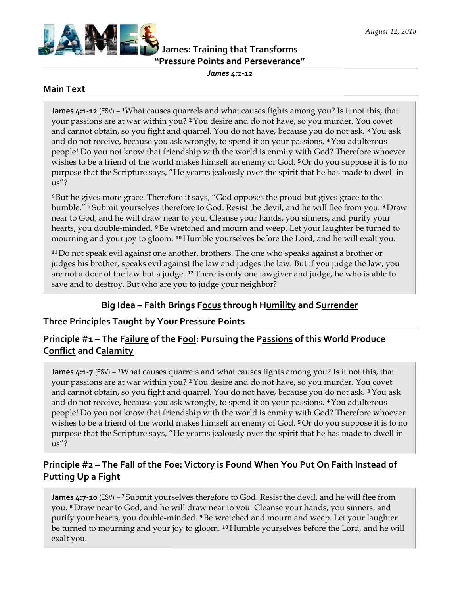

James: Training that Transforms TransformsPressure Points and Perseverance" "Pressure Points and Perseverance"

James 4:1-12

#### Main Text

**James 4:1-12** (ESV) – <sup>1</sup>What causes quarrels and what causes fights among you? Is it not this, that your passions are at war within you? <sup>2</sup> You desire and do not have, so you murder. You covet and cannot obtain, so you fight and quarrel. You do not have, because you do not ask. <sup>3</sup> You ask and do not receive, because you ask wrongly, to spend it on your passions. <sup>4</sup> You adulterous people! Do you not know that friendship with the world is enmity with God? Therefore whoever people! Do you not know that friendship with the world is enmity with God? Therefore whoever<br>wishes to be a friend of the world makes himself an enemy of God. <sup>5</sup>Or do you suppose it is to no purpose that the Scripture says, "He yearns jealously over the spirit that he has made to dwell in us"? ou adulterous<br>Therefore whoever<br>1 suppose it is to no<br>s made to dwell in

<sup>6</sup>But he gives more grace. Therefore it says, "God opposes the proud but gives grace to the humble." 7 Submit yourselves therefore to God. Resist the devil, and he will flee from you. near to God, and he will draw near to you. Cleanse your hands, you sinners, and purify your hearts, you double-minded. 9 Be wretched and mourn and weep. Let your laughter be turned to hearts, you double-minded. 9 Be wretched and mourn and weep. Let your laughter be turned t<br>mourning and your joy to gloom. 10 Humble yourselves before the Lord, and he will exalt you. <sup>6</sup> But he gives more grace. Therefore it says, "God opposes the proud but gives grace to the<br>humble." <sup>7</sup> Submit yourselves therefore to God. Resist the devil, and he will flee from you. <sup>8</sup> D<br>near to God, and he will dra <sup>8</sup>Draw

<sup>11</sup>Do not speak evil against one another, brothers. The one who speaks against a brother or judges his brother, speaks evil against the law and judges the law. But if you judge the law, you are not a doer of the law but a judge. <sup>12</sup> There is only one lawgiver and judge, he who is able to save and to destroy. But who are you to judge your neighbor? save <sup>11</sup>Do not speak evil against one another, brothers. The one who speaks against a brother<br>judges his brother, speaks evil against the law and judges the law. But if you judge the la<br>are not a doer of the law but a judge. u. Cleanse your hands, you sinners, and purify your<br>d and mourn and weep. Let your laughter be turned to<br>ble yourselves before the Lord, and he will exalt you.<br>brothers. The one who speaks against a brother or<br>e law and ju

## Big Idea – Faith Brings Focus through Humility and Surrender

## Three Principles Taught by Your Pressure Points

# Big Idea – Faith Brings F<u>ocus</u> through H<u>umility</u> and S<u>urrender</u><br>Three Principles Taught by Your Pressure Points<br>Principle #1 – The F<u>ailure</u> of the F<u>ool</u>: Pursuing the P<u>assions</u> of this World Produce Conflict and Calamity

James 4:1-7 (ESV) – <sup>1</sup>What causes quarrels and what causes fights among you? Is it not this, that James 4:1-7 (ESV) – <sup>1</sup>What causes quarrels and what causes fights among you? Is it not this, that<br>your passions are at war within you? <sup>2</sup> You desire and do not have, so you murder. You covet and cannot obtain, so you fight and quarrel. You do not have, because you do not ask. <sup>3</sup>You ask<br>and do not receive, because you ask wrongly, to spend it on your passions. <sup>4</sup>You adulterous and do not receive, because you ask wrongly, to spend it on your passions. <sup>4</sup> You adulterous and do not receive, because you ask wrongly, to spend it on your passions. 4 You adulterous<br>people! Do you not know that friendship with the world is enmity with God? Therefore whoever people! Do you not know that friendship with the world is enmity with God? Therefore whoever<br>wishes to be a friend of the world makes himself an enemy of God. <sup>5</sup>Or do you suppose it is to no purpose that the Scripture says, "He yearns jealously over the spirit that he has made to dwell in us"?

# Principle #2 – The F<u>all</u> of the F<u>oe</u>: V<u>ictory</u> is Found When You P<u>ut</u> O<u>n</u> F<u>aith</u> Instead of Putting Up a Fight

James 4:7-10 (ESV) –<sup>7</sup> Submit yourselves therefore to God. Resist the devil, and he will flee from you. <sup>8</sup> Draw near to God, and he will draw near to you. Cleanse your hands, you sinners, and<br>purify your hearts, you double-minded. <sup>9</sup> Be wretched and mourn and weep. Let your laughter purify your hearts, you double-minded. <sup>9</sup> Be wretched and mourn and weep. Let your laughter purify your hearts, you double-minded. <sup>9</sup> Be wretched and mourn and weep. Let your laughter<br>be turned to mourning and your joy to gloom. <sup>10</sup> Humble yourselves before the Lord, and he will exalt you.